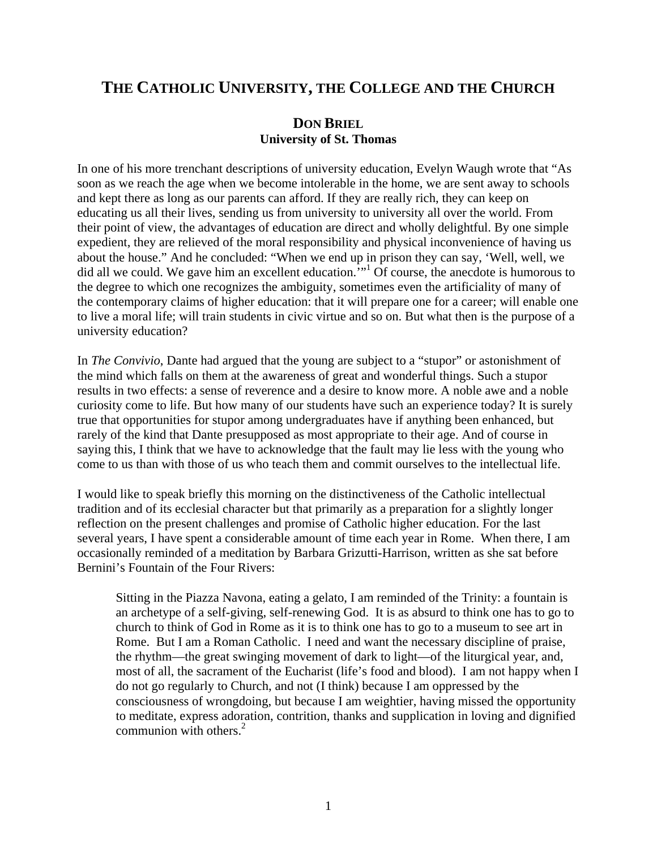## **THE CATHOLIC UNIVERSITY, THE COLLEGE AND THE CHURCH**

## **DON BRIEL University of St. Thomas**

In one of his more trenchant descriptions of university education, Evelyn Waugh wrote that "As soon as we reach the age when we become intolerable in the home, we are sent away to schools and kept there as long as our parents can afford. If they are really rich, they can keep on educating us all their lives, sending us from university to university all over the world. From their point of view, the advantages of education are direct and wholly delightful. By one simple expedient, they are relieved of the moral responsibility and physical inconvenience of having us about the house." And he concluded: "When we end up in prison they can say, 'Well, well, we did all we could. We gave him an excellent education.<sup>3[1](#page-9-0)4</sup> Of course, the anecdote is humorous to the degree to which one recognizes the ambiguity, sometimes even the artificiality of many of the contemporary claims of higher education: that it will prepare one for a career; will enable one to live a moral life; will train students in civic virtue and so on. But what then is the purpose of a university education?

In *The Convivio*, Dante had argued that the young are subject to a "stupor" or astonishment of the mind which falls on them at the awareness of great and wonderful things. Such a stupor results in two effects: a sense of reverence and a desire to know more. A noble awe and a noble curiosity come to life. But how many of our students have such an experience today? It is surely true that opportunities for stupor among undergraduates have if anything been enhanced, but rarely of the kind that Dante presupposed as most appropriate to their age. And of course in saying this, I think that we have to acknowledge that the fault may lie less with the young who come to us than with those of us who teach them and commit ourselves to the intellectual life.

I would like to speak briefly this morning on the distinctiveness of the Catholic intellectual tradition and of its ecclesial character but that primarily as a preparation for a slightly longer reflection on the present challenges and promise of Catholic higher education. For the last several years, I have spent a considerable amount of time each year in Rome. When there, I am occasionally reminded of a meditation by Barbara Grizutti-Harrison, written as she sat before Bernini's Fountain of the Four Rivers:

Sitting in the Piazza Navona, eating a gelato, I am reminded of the Trinity: a fountain is an archetype of a self-giving, self-renewing God. It is as absurd to think one has to go to church to think of God in Rome as it is to think one has to go to a museum to see art in Rome. But I am a Roman Catholic. I need and want the necessary discipline of praise, the rhythm—the great swinging movement of dark to light—of the liturgical year, and, most of all, the sacrament of the Eucharist (life's food and blood). I am not happy when I do not go regularly to Church, and not (I think) because I am oppressed by the consciousness of wrongdoing, but because I am weightier, having missed the opportunity to meditate, express adoration, contrition, thanks and supplication in loving and dignified communion with others. $2$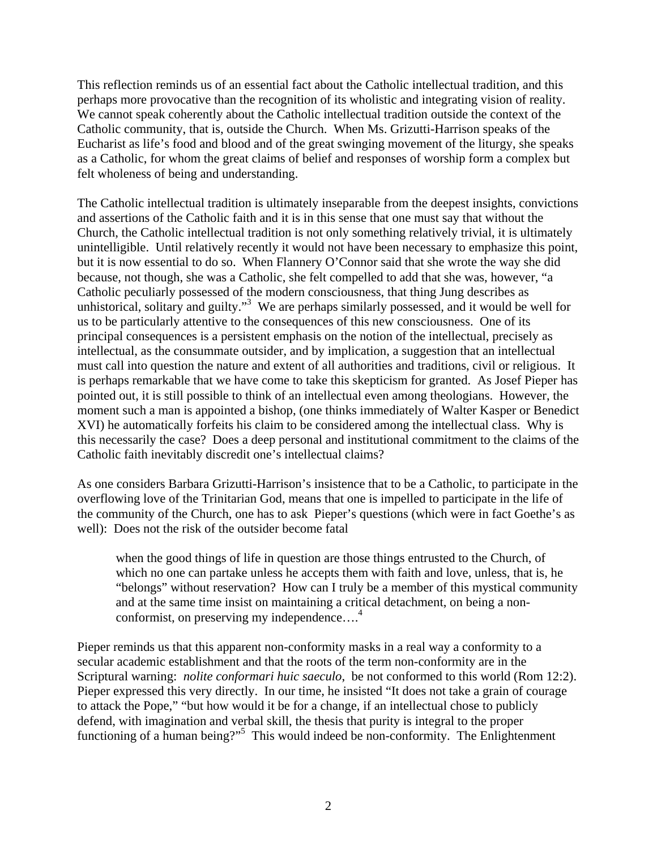This reflection reminds us of an essential fact about the Catholic intellectual tradition, and this perhaps more provocative than the recognition of its wholistic and integrating vision of reality. We cannot speak coherently about the Catholic intellectual tradition outside the context of the Catholic community, that is, outside the Church. When Ms. Grizutti-Harrison speaks of the Eucharist as life's food and blood and of the great swinging movement of the liturgy, she speaks as a Catholic, for whom the great claims of belief and responses of worship form a complex but felt wholeness of being and understanding.

The Catholic intellectual tradition is ultimately inseparable from the deepest insights, convictions and assertions of the Catholic faith and it is in this sense that one must say that without the Church, the Catholic intellectual tradition is not only something relatively trivial, it is ultimately unintelligible. Until relatively recently it would not have been necessary to emphasize this point, but it is now essential to do so. When Flannery O'Connor said that she wrote the way she did because, not though, she was a Catholic, she felt compelled to add that she was, however, "a Catholic peculiarly possessed of the modern consciousness, that thing Jung describes as unhistorical, solitary and guilty."<sup>[3](#page-9-2)</sup> We are perhaps similarly possessed, and it would be well for us to be particularly attentive to the consequences of this new consciousness. One of its principal consequences is a persistent emphasis on the notion of the intellectual, precisely as intellectual, as the consummate outsider, and by implication, a suggestion that an intellectual must call into question the nature and extent of all authorities and traditions, civil or religious. It is perhaps remarkable that we have come to take this skepticism for granted. As Josef Pieper has pointed out, it is still possible to think of an intellectual even among theologians. However, the moment such a man is appointed a bishop, (one thinks immediately of Walter Kasper or Benedict XVI) he automatically forfeits his claim to be considered among the intellectual class. Why is this necessarily the case? Does a deep personal and institutional commitment to the claims of the Catholic faith inevitably discredit one's intellectual claims?

As one considers Barbara Grizutti-Harrison's insistence that to be a Catholic, to participate in the overflowing love of the Trinitarian God, means that one is impelled to participate in the life of the community of the Church, one has to ask Pieper's questions (which were in fact Goethe's as well): Does not the risk of the outsider become fatal

when the good things of life in question are those things entrusted to the Church, of which no one can partake unless he accepts them with faith and love, unless, that is, he "belongs" without reservation? How can I truly be a member of this mystical community and at the same time insist on maintaining a critical detachment, on being a non-conformist, on preserving my independence....<sup>[4](#page-9-3)</sup>

Pieper reminds us that this apparent non-conformity masks in a real way a conformity to a secular academic establishment and that the roots of the term non-conformity are in the Scriptural warning: *nolite conformari huic saeculo*, be not conformed to this world (Rom 12:2). Pieper expressed this very directly. In our time, he insisted "It does not take a grain of courage to attack the Pope," "but how would it be for a change, if an intellectual chose to publicly defend, with imagination and verbal skill, the thesis that purity is integral to the proper functioningof a human being?"<sup>5</sup> This would indeed be non-conformity. The Enlightenment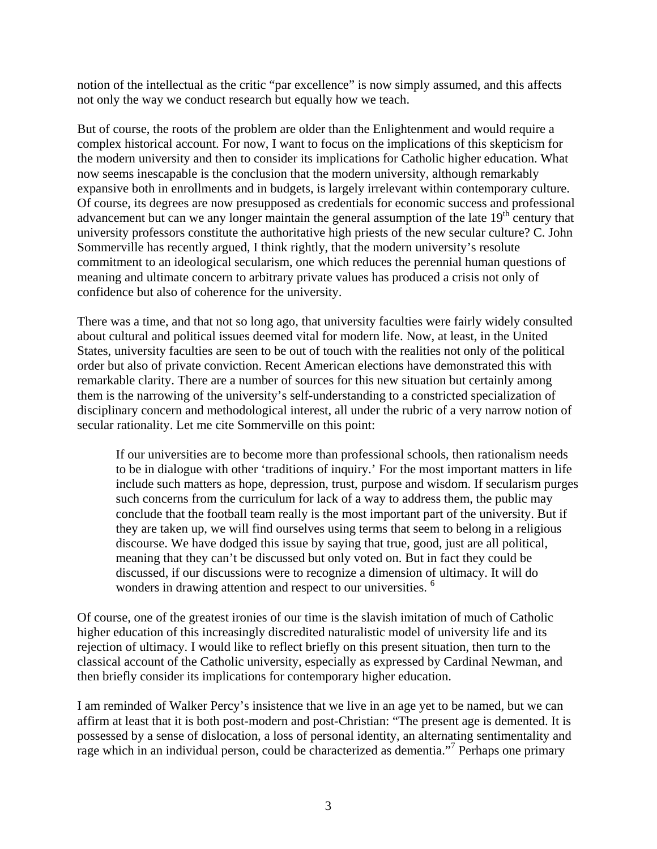notion of the intellectual as the critic "par excellence" is now simply assumed, and this affects not only the way we conduct research but equally how we teach.

But of course, the roots of the problem are older than the Enlightenment and would require a complex historical account. For now, I want to focus on the implications of this skepticism for the modern university and then to consider its implications for Catholic higher education. What now seems inescapable is the conclusion that the modern university, although remarkably expansive both in enrollments and in budgets, is largely irrelevant within contemporary culture. Of course, its degrees are now presupposed as credentials for economic success and professional advancement but can we any longer maintain the general assumption of the late  $19<sup>th</sup>$  century that university professors constitute the authoritative high priests of the new secular culture? C. John Sommerville has recently argued, I think rightly, that the modern university's resolute commitment to an ideological secularism, one which reduces the perennial human questions of meaning and ultimate concern to arbitrary private values has produced a crisis not only of confidence but also of coherence for the university.

There was a time, and that not so long ago, that university faculties were fairly widely consulted about cultural and political issues deemed vital for modern life. Now, at least, in the United States, university faculties are seen to be out of touch with the realities not only of the political order but also of private conviction. Recent American elections have demonstrated this with remarkable clarity. There are a number of sources for this new situation but certainly among them is the narrowing of the university's self-understanding to a constricted specialization of disciplinary concern and methodological interest, all under the rubric of a very narrow notion of secular rationality. Let me cite Sommerville on this point:

If our universities are to become more than professional schools, then rationalism needs to be in dialogue with other 'traditions of inquiry.' For the most important matters in life include such matters as hope, depression, trust, purpose and wisdom. If secularism purges such concerns from the curriculum for lack of a way to address them, the public may conclude that the football team really is the most important part of the university. But if they are taken up, we will find ourselves using terms that seem to belong in a religious discourse. We have dodged this issue by saying that true, good, just are all political, meaning that they can't be discussed but only voted on. But in fact they could be discussed, if our discussions were to recognize a dimension of ultimacy. It will do wonders in drawing attention and respect to our universities.<sup>[6](#page-9-5)</sup>

Of course, one of the greatest ironies of our time is the slavish imitation of much of Catholic higher education of this increasingly discredited naturalistic model of university life and its rejection of ultimacy. I would like to reflect briefly on this present situation, then turn to the classical account of the Catholic university, especially as expressed by Cardinal Newman, and then briefly consider its implications for contemporary higher education.

I am reminded of Walker Percy's insistence that we live in an age yet to be named, but we can affirm at least that it is both post-modern and post-Christian: "The present age is demented. It is possessed by a sense of dislocation, a loss of personal identity, an alternating sentimentality and rage which in an individual person, could be characterized as dementia."<sup>[7](#page-9-6)</sup> Perhaps one primary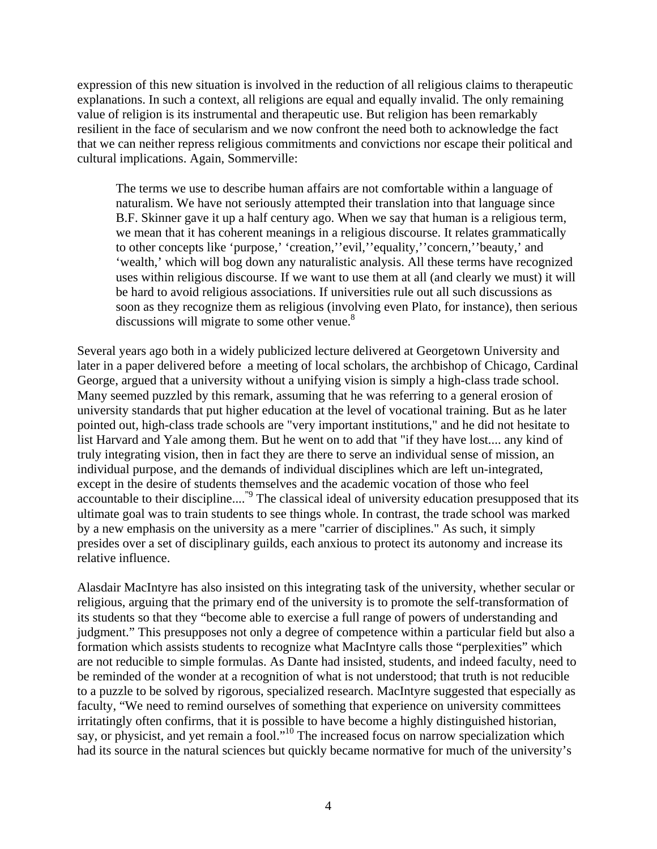expression of this new situation is involved in the reduction of all religious claims to therapeutic explanations. In such a context, all religions are equal and equally invalid. The only remaining value of religion is its instrumental and therapeutic use. But religion has been remarkably resilient in the face of secularism and we now confront the need both to acknowledge the fact that we can neither repress religious commitments and convictions nor escape their political and cultural implications. Again, Sommerville:

The terms we use to describe human affairs are not comfortable within a language of naturalism. We have not seriously attempted their translation into that language since B.F. Skinner gave it up a half century ago. When we say that human is a religious term, we mean that it has coherent meanings in a religious discourse. It relates grammatically to other concepts like 'purpose,' 'creation,''evil,''equality,''concern,''beauty,' and 'wealth,' which will bog down any naturalistic analysis. All these terms have recognized uses within religious discourse. If we want to use them at all (and clearly we must) it will be hard to avoid religious associations. If universities rule out all such discussions as soon as they recognize them as religious (involving even Plato, for instance), then serious discussions will migrate to some other venue. $8$ 

Several years ago both in a widely publicized lecture delivered at Georgetown University and later in a paper delivered before a meeting of local scholars, the archbishop of Chicago, Cardinal George, argued that a university without a unifying vision is simply a high-class trade school. Many seemed puzzled by this remark, assuming that he was referring to a general erosion of university standards that put higher education at the level of vocational training. But as he later pointed out, high-class trade schools are "very important institutions," and he did not hesitate to list Harvard and Yale among them. But he went on to add that "if they have lost.... any kind of truly integrating vision, then in fact they are there to serve an individual sense of mission, an individual purpose, and the demands of individual disciplines which are left un-integrated, except in the desire of students themselves and the academic vocation of those who feel accountable to their discipline...."[9](#page-9-8) The classical ideal of university education presupposed that its ultimate goal was to train students to see things whole. In contrast, the trade school was marked by a new emphasis on the university as a mere "carrier of disciplines." As such, it simply presides over a set of disciplinary guilds, each anxious to protect its autonomy and increase its relative influence.

Alasdair MacIntyre has also insisted on this integrating task of the university, whether secular or religious, arguing that the primary end of the university is to promote the self-transformation of its students so that they "become able to exercise a full range of powers of understanding and judgment." This presupposes not only a degree of competence within a particular field but also a formation which assists students to recognize what MacIntyre calls those "perplexities" which are not reducible to simple formulas. As Dante had insisted, students, and indeed faculty, need to be reminded of the wonder at a recognition of what is not understood; that truth is not reducible to a puzzle to be solved by rigorous, specialized research. MacIntyre suggested that especially as faculty, "We need to remind ourselves of something that experience on university committees irritatingly often confirms, that it is possible to have become a highly distinguished historian, say, or physicist, and yet remain a fool."<sup>10</sup> The increased focus on narrow specialization which had its source in the natural sciences but quickly became normative for much of the university's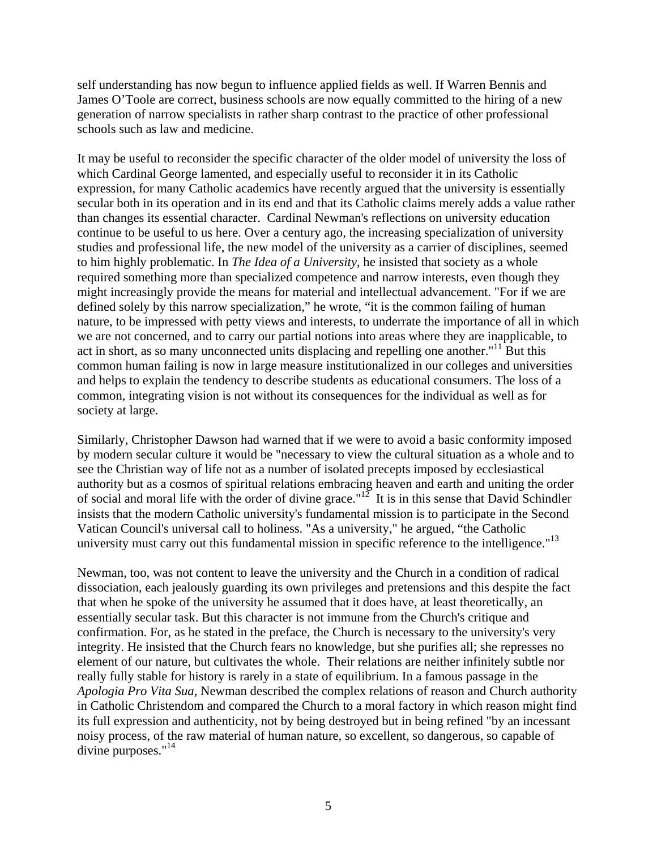self understanding has now begun to influence applied fields as well. If Warren Bennis and James O'Toole are correct, business schools are now equally committed to the hiring of a new generation of narrow specialists in rather sharp contrast to the practice of other professional schools such as law and medicine.

It may be useful to reconsider the specific character of the older model of university the loss of which Cardinal George lamented, and especially useful to reconsider it in its Catholic expression, for many Catholic academics have recently argued that the university is essentially secular both in its operation and in its end and that its Catholic claims merely adds a value rather than changes its essential character. Cardinal Newman's reflections on university education continue to be useful to us here. Over a century ago, the increasing specialization of university studies and professional life, the new model of the university as a carrier of disciplines, seemed to him highly problematic. In *The Idea of a University*, he insisted that society as a whole required something more than specialized competence and narrow interests, even though they might increasingly provide the means for material and intellectual advancement. "For if we are defined solely by this narrow specialization," he wrote, "it is the common failing of human nature, to be impressed with petty views and interests, to underrate the importance of all in which we are not concerned, and to carry our partial notions into areas where they are inapplicable, to act in short, as so many unconnected units displacing and repelling one another."<sup>11</sup> But this common human failing is now in large measure institutionalized in our colleges and universities and helps to explain the tendency to describe students as educational consumers. The loss of a common, integrating vision is not without its consequences for the individual as well as for society at large.

Similarly, Christopher Dawson had warned that if we were to avoid a basic conformity imposed by modern secular culture it would be "necessary to view the cultural situation as a whole and to see the Christian way of life not as a number of isolated precepts imposed by ecclesiastical authority but as a cosmos of spiritual relations embracing heaven and earth and uniting the order of social and moral life with the order of divine grace."<sup>12</sup> It is in this sense that David Schindler insists that the modern Catholic university's fundamental mission is to participate in the Second Vatican Council's universal call to holiness. "As a university," he argued, "the Catholic university must carry out this fundamental mission in specific reference to the intelligence."<sup>13</sup>

Newman, too, was not content to leave the university and the Church in a condition of radical dissociation, each jealously guarding its own privileges and pretensions and this despite the fact that when he spoke of the university he assumed that it does have, at least theoretically, an essentially secular task. But this character is not immune from the Church's critique and confirmation. For, as he stated in the preface, the Church is necessary to the university's very integrity. He insisted that the Church fears no knowledge, but she purifies all; she represses no element of our nature, but cultivates the whole. Their relations are neither infinitely subtle nor really fully stable for history is rarely in a state of equilibrium. In a famous passage in the *Apologia Pro Vita Sua*, Newman described the complex relations of reason and Church authority in Catholic Christendom and compared the Church to a moral factory in which reason might find its full expression and authenticity, not by being destroyed but in being refined "by an incessant noisy process, of the raw material of human nature, so excellent, so dangerous, so capable of divine purposes."<sup>14</sup>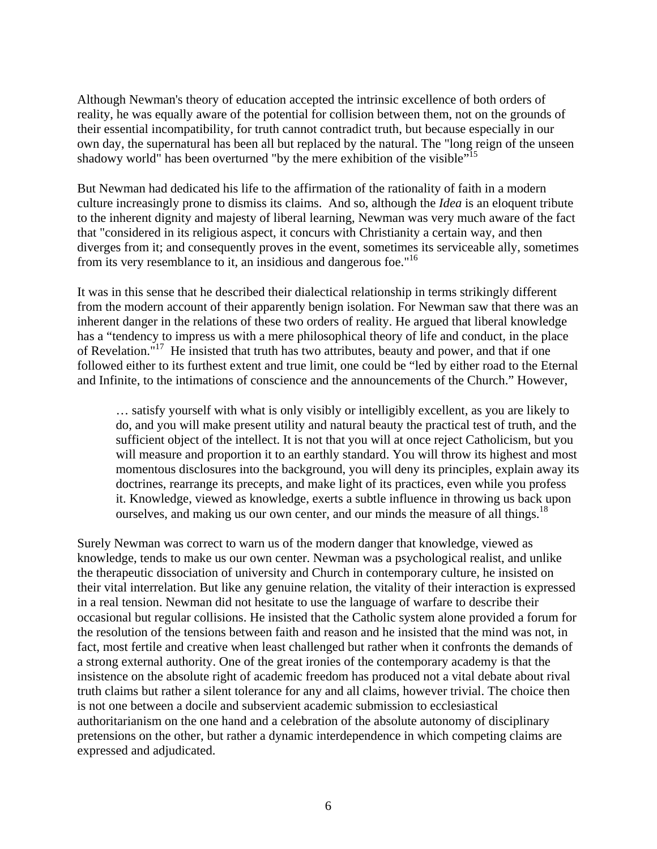Although Newman's theory of education accepted the intrinsic excellence of both orders of reality, he was equally aware of the potential for collision between them, not on the grounds of their essential incompatibility, for truth cannot contradict truth, but because especially in our own day, the supernatural has been all but replaced by the natural. The "long reign of the unseen shadowy world" has been overturned "by the mere exhibition of the visible"<sup>15</sup>

But Newman had dedicated his life to the affirmation of the rationality of faith in a modern culture increasingly prone to dismiss its claims. And so, although the *Idea* is an eloquent tribute to the inherent dignity and majesty of liberal learning, Newman was very much aware of the fact that "considered in its religious aspect, it concurs with Christianity a certain way, and then diverges from it; and consequently proves in the event, sometimes its serviceable ally, sometimes from its very resemblance to it, an insidious and dangerous foe."[16](#page-9-15) 

It was in this sense that he described their dialectical relationship in terms strikingly different from the modern account of their apparently benign isolation. For Newman saw that there was an inherent danger in the relations of these two orders of reality. He argued that liberal knowledge has a "tendency to impress us with a mere philosophical theory of life and conduct, in the place of Revelation."<sup>17</sup> He insisted that truth has two attributes, beauty and power, and that if one followed either to its furthest extent and true limit, one could be "led by either road to the Eternal and Infinite, to the intimations of conscience and the announcements of the Church." However,

… satisfy yourself with what is only visibly or intelligibly excellent, as you are likely to do, and you will make present utility and natural beauty the practical test of truth, and the sufficient object of the intellect. It is not that you will at once reject Catholicism, but you will measure and proportion it to an earthly standard. You will throw its highest and most momentous disclosures into the background, you will deny its principles, explain away its doctrines, rearrange its precepts, and make light of its practices, even while you profess it. Knowledge, viewed as knowledge, exerts a subtle influence in throwing us back upon ourselves, and making us our own center, and our minds the measure of all things.<sup>[18](#page-9-17)</sup>

Surely Newman was correct to warn us of the modern danger that knowledge, viewed as knowledge, tends to make us our own center. Newman was a psychological realist, and unlike the therapeutic dissociation of university and Church in contemporary culture, he insisted on their vital interrelation. But like any genuine relation, the vitality of their interaction is expressed in a real tension. Newman did not hesitate to use the language of warfare to describe their occasional but regular collisions. He insisted that the Catholic system alone provided a forum for the resolution of the tensions between faith and reason and he insisted that the mind was not, in fact, most fertile and creative when least challenged but rather when it confronts the demands of a strong external authority. One of the great ironies of the contemporary academy is that the insistence on the absolute right of academic freedom has produced not a vital debate about rival truth claims but rather a silent tolerance for any and all claims, however trivial. The choice then is not one between a docile and subservient academic submission to ecclesiastical authoritarianism on the one hand and a celebration of the absolute autonomy of disciplinary pretensions on the other, but rather a dynamic interdependence in which competing claims are expressed and adjudicated.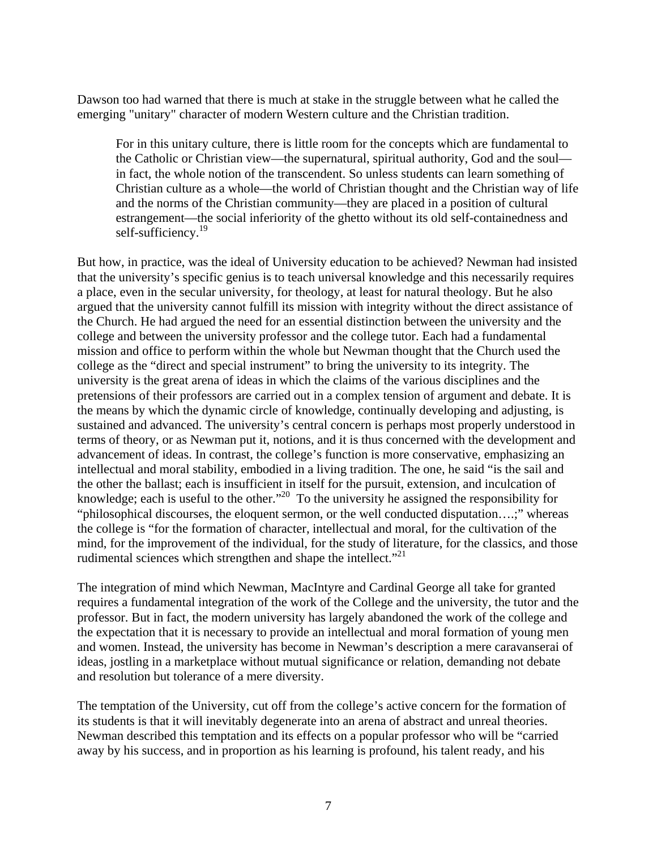Dawson too had warned that there is much at stake in the struggle between what he called the emerging "unitary" character of modern Western culture and the Christian tradition.

For in this unitary culture, there is little room for the concepts which are fundamental to the Catholic or Christian view—the supernatural, spiritual authority, God and the soul in fact, the whole notion of the transcendent. So unless students can learn something of Christian culture as a whole—the world of Christian thought and the Christian way of life and the norms of the Christian community—they are placed in a position of cultural estrangement—the social inferiority of the ghetto without its old self-containedness and self-sufficiency.<sup>[19](#page-9-18)</sup>

But how, in practice, was the ideal of University education to be achieved? Newman had insisted that the university's specific genius is to teach universal knowledge and this necessarily requires a place, even in the secular university, for theology, at least for natural theology. But he also argued that the university cannot fulfill its mission with integrity without the direct assistance of the Church. He had argued the need for an essential distinction between the university and the college and between the university professor and the college tutor. Each had a fundamental mission and office to perform within the whole but Newman thought that the Church used the college as the "direct and special instrument" to bring the university to its integrity. The university is the great arena of ideas in which the claims of the various disciplines and the pretensions of their professors are carried out in a complex tension of argument and debate. It is the means by which the dynamic circle of knowledge, continually developing and adjusting, is sustained and advanced. The university's central concern is perhaps most properly understood in terms of theory, or as Newman put it, notions, and it is thus concerned with the development and advancement of ideas. In contrast, the college's function is more conservative, emphasizing an intellectual and moral stability, embodied in a living tradition. The one, he said "is the sail and the other the ballast; each is insufficient in itself for the pursuit, extension, and inculcation of knowledge; each is useful to the other."<sup>20</sup> To the university he assigned the responsibility for "philosophical discourses, the eloquent sermon, or the well conducted disputation….;" whereas the college is "for the formation of character, intellectual and moral, for the cultivation of the mind, for the improvement of the individual, for the study of literature, for the classics, and those rudimental sciences which strengthen and shape the intellect."<sup>21</sup>

The integration of mind which Newman, MacIntyre and Cardinal George all take for granted requires a fundamental integration of the work of the College and the university, the tutor and the professor. But in fact, the modern university has largely abandoned the work of the college and the expectation that it is necessary to provide an intellectual and moral formation of young men and women. Instead, the university has become in Newman's description a mere caravanserai of ideas, jostling in a marketplace without mutual significance or relation, demanding not debate and resolution but tolerance of a mere diversity.

The temptation of the University, cut off from the college's active concern for the formation of its students is that it will inevitably degenerate into an arena of abstract and unreal theories. Newman described this temptation and its effects on a popular professor who will be "carried away by his success, and in proportion as his learning is profound, his talent ready, and his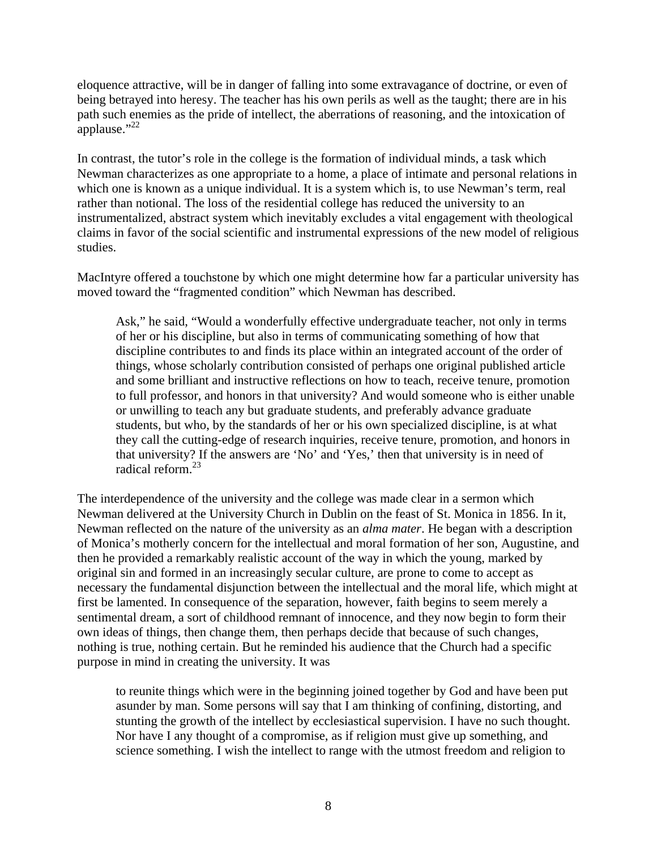eloquence attractive, will be in danger of falling into some extravagance of doctrine, or even of being betrayed into heresy. The teacher has his own perils as well as the taught; there are in his path such enemies as the pride of intellect, the aberrations of reasoning, and the intoxication of applause." $^{22}$ 

In contrast, the tutor's role in the college is the formation of individual minds, a task which Newman characterizes as one appropriate to a home, a place of intimate and personal relations in which one is known as a unique individual. It is a system which is, to use Newman's term, real rather than notional. The loss of the residential college has reduced the university to an instrumentalized, abstract system which inevitably excludes a vital engagement with theological claims in favor of the social scientific and instrumental expressions of the new model of religious studies.

MacIntyre offered a touchstone by which one might determine how far a particular university has moved toward the "fragmented condition" which Newman has described.

Ask," he said, "Would a wonderfully effective undergraduate teacher, not only in terms of her or his discipline, but also in terms of communicating something of how that discipline contributes to and finds its place within an integrated account of the order of things, whose scholarly contribution consisted of perhaps one original published article and some brilliant and instructive reflections on how to teach, receive tenure, promotion to full professor, and honors in that university? And would someone who is either unable or unwilling to teach any but graduate students, and preferably advance graduate students, but who, by the standards of her or his own specialized discipline, is at what they call the cutting-edge of research inquiries, receive tenure, promotion, and honors in that university? If the answers are 'No' and 'Yes,' then that university is in need of radical reform.[23](#page-9-22)

The interdependence of the university and the college was made clear in a sermon which Newman delivered at the University Church in Dublin on the feast of St. Monica in 1856. In it, Newman reflected on the nature of the university as an *alma mater*. He began with a description of Monica's motherly concern for the intellectual and moral formation of her son, Augustine, and then he provided a remarkably realistic account of the way in which the young, marked by original sin and formed in an increasingly secular culture, are prone to come to accept as necessary the fundamental disjunction between the intellectual and the moral life, which might at first be lamented. In consequence of the separation, however, faith begins to seem merely a sentimental dream, a sort of childhood remnant of innocence, and they now begin to form their own ideas of things, then change them, then perhaps decide that because of such changes, nothing is true, nothing certain. But he reminded his audience that the Church had a specific purpose in mind in creating the university. It was

to reunite things which were in the beginning joined together by God and have been put asunder by man. Some persons will say that I am thinking of confining, distorting, and stunting the growth of the intellect by ecclesiastical supervision. I have no such thought. Nor have I any thought of a compromise, as if religion must give up something, and science something. I wish the intellect to range with the utmost freedom and religion to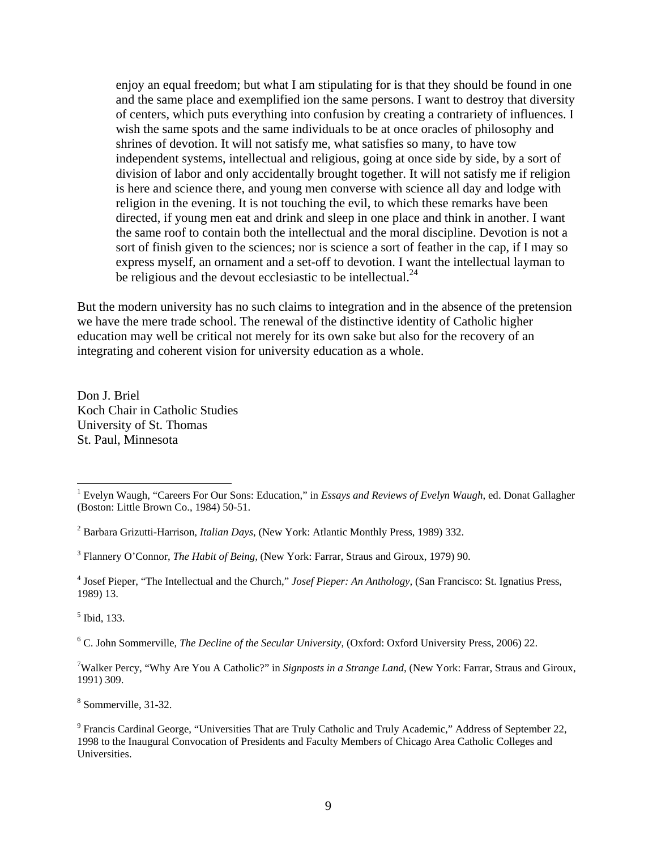enjoy an equal freedom; but what I am stipulating for is that they should be found in one and the same place and exemplified ion the same persons. I want to destroy that diversity of centers, which puts everything into confusion by creating a contrariety of influences. I wish the same spots and the same individuals to be at once oracles of philosophy and shrines of devotion. It will not satisfy me, what satisfies so many, to have tow independent systems, intellectual and religious, going at once side by side, by a sort of division of labor and only accidentally brought together. It will not satisfy me if religion is here and science there, and young men converse with science all day and lodge with religion in the evening. It is not touching the evil, to which these remarks have been directed, if young men eat and drink and sleep in one place and think in another. I want the same roof to contain both the intellectual and the moral discipline. Devotion is not a sort of finish given to the sciences; nor is science a sort of feather in the cap, if I may so express myself, an ornament and a set-off to devotion. I want the intellectual layman to be religious and the devout ecclesiastic to be intellectual. $^{24}$  $^{24}$  $^{24}$ 

But the modern university has no such claims to integration and in the absence of the pretension we have the mere trade school. The renewal of the distinctive identity of Catholic higher education may well be critical not merely for its own sake but also for the recovery of an integrating and coherent vision for university education as a whole.

Don J. Briel Koch Chair in Catholic Studies University of St. Thomas St. Paul, Minnesota

5 Ibid, 133.

6 C. John Sommerville, *The Decline of the Secular University*, (Oxford: Oxford University Press, 2006) 22.

7 Walker Percy, "Why Are You A Catholic?" in *Signposts in a Strange Land*, (New York: Farrar, Straus and Giroux, 1991) 309.

8 Sommerville, 31-32.

 $\frac{1}{1}$  Evelyn Waugh, "Careers For Our Sons: Education," in *Essays and Reviews of Evelyn Waugh*, ed. Donat Gallagher (Boston: Little Brown Co., 1984) 50-51.

<sup>2</sup> Barbara Grizutti-Harrison*, Italian Days*, (New York: Atlantic Monthly Press, 1989) 332.

<sup>3</sup> Flannery O'Connor, *The Habit of Being,* (New York: Farrar, Straus and Giroux, 1979) 90.

<sup>4</sup> Josef Pieper, "The Intellectual and the Church," *Josef Pieper: An Anthology,* (San Francisco: St. Ignatius Press, 1989) 13.

<sup>&</sup>lt;sup>9</sup> Francis Cardinal George, "Universities That are Truly Catholic and Truly Academic," Address of September 22, 1998 to the Inaugural Convocation of Presidents and Faculty Members of Chicago Area Catholic Colleges and **Universities**